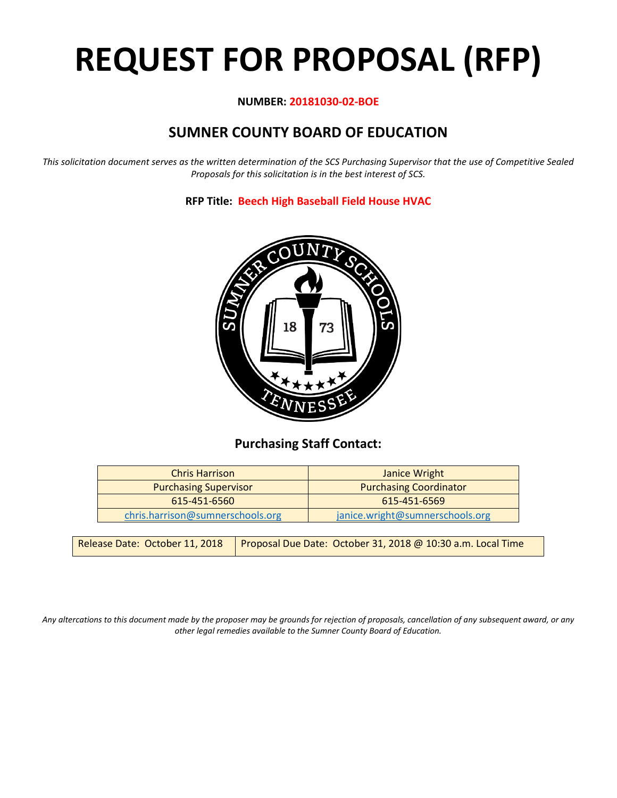# **REQUEST FOR PROPOSAL (RFP)**

#### **NUMBER: 20181030-02-BOE**

# **SUMNER COUNTY BOARD OF EDUCATION**

*This solicitation document serves as the written determination of the SCS Purchasing Supervisor that the use of Competitive Sealed Proposals for this solicitation is in the best interest of SCS.*

#### **RFP Title: Beech High Baseball Field House HVAC**



## **Purchasing Staff Contact:**

| <b>Chris Harrison</b>            | Janice Wright                   |
|----------------------------------|---------------------------------|
| <b>Purchasing Supervisor</b>     | <b>Purchasing Coordinator</b>   |
| 615-451-6560                     | 615-451-6569                    |
| chris.harrison@sumnerschools.org | janice.wright@sumnerschools.org |

|  | Release Date: October 11, 2018   Proposal Due Date: October 31, 2018 @ 10:30 a.m. Local Time |
|--|----------------------------------------------------------------------------------------------|
|--|----------------------------------------------------------------------------------------------|

*Any altercations to this document made by the proposer may be grounds for rejection of proposals, cancellation of any subsequent award, or any other legal remedies available to the Sumner County Board of Education.*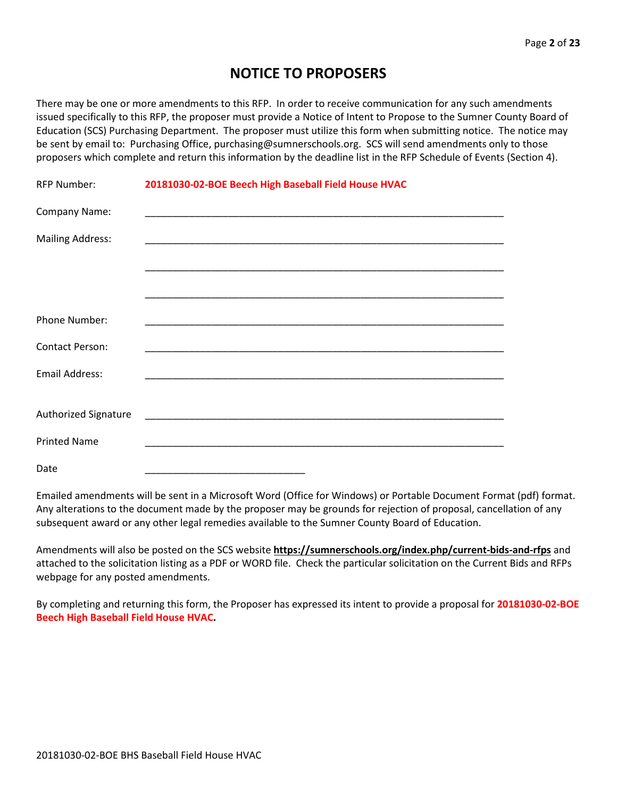## **NOTICE TO PROPOSERS**

There may be one or more amendments to this RFP. In order to receive communication for any such amendments issued specifically to this RFP, the proposer must provide a Notice of Intent to Propose to the Sumner County Board of Education (SCS) Purchasing Department. The proposer must utilize this form when submitting notice. The notice may be sent by email to: Purchasing Office, purchasing@sumnerschools.org. SCS will send amendments only to those proposers which complete and return this information by the deadline list in the RFP Schedule of Events (Section 4).

| <b>RFP Number:</b>      | 20181030-02-BOE Beech High Baseball Field House HVAC |
|-------------------------|------------------------------------------------------|
| Company Name:           |                                                      |
| <b>Mailing Address:</b> |                                                      |
|                         |                                                      |
|                         |                                                      |
| Phone Number:           |                                                      |
| <b>Contact Person:</b>  |                                                      |
| Email Address:          |                                                      |
|                         |                                                      |
| Authorized Signature    |                                                      |
| <b>Printed Name</b>     |                                                      |
| Date                    |                                                      |

Emailed amendments will be sent in a Microsoft Word (Office for Windows) or Portable Document Format (pdf) format. Any alterations to the document made by the proposer may be grounds for rejection of proposal, cancellation of any subsequent award or any other legal remedies available to the Sumner County Board of Education.

Amendments will also be posted on the SCS website **https://sumnerschools.org/index.php/current-bids-and-rfps** and attached to the solicitation listing as a PDF or WORD file. Check the particular solicitation on the Current Bids and RFPs webpage for any posted amendments.

By completing and returning this form, the Proposer has expressed its intent to provide a proposal for **20181030-02-BOE Beech High Baseball Field House HVAC.**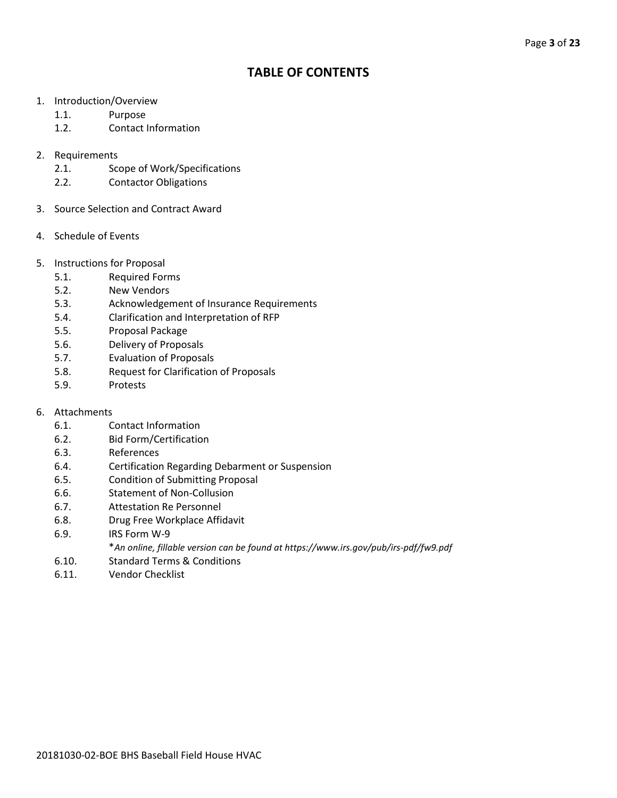## **TABLE OF CONTENTS**

- 1. Introduction/Overview
	- 1.1. Purpose
	- 1.2. Contact Information
- 2. Requirements
	- 2.1. Scope of Work/Specifications
	- 2.2. Contactor Obligations
- 3. Source Selection and Contract Award
- 4. Schedule of Events
- 5. Instructions for Proposal
	- 5.1. Required Forms
	- 5.2. New Vendors
	- 5.3. Acknowledgement of Insurance Requirements
	- 5.4. Clarification and Interpretation of RFP
	- 5.5. Proposal Package
	- 5.6. Delivery of Proposals
	- 5.7. Evaluation of Proposals
	- 5.8. Request for Clarification of Proposals
	- 5.9. Protests
- 6. Attachments
	- 6.1. Contact Information
	- 6.2. Bid Form/Certification
	- 6.3. References
	- 6.4. Certification Regarding Debarment or Suspension
	- 6.5. Condition of Submitting Proposal
	- 6.6. Statement of Non-Collusion
	- 6.7. Attestation Re Personnel
	- 6.8. Drug Free Workplace Affidavit
	- 6.9. IRS Form W-9
		- \**An online, fillable version can be found at https://www.irs.gov/pub/irs-pdf/fw9.pdf*
	- 6.10. Standard Terms & Conditions
	- 6.11. Vendor Checklist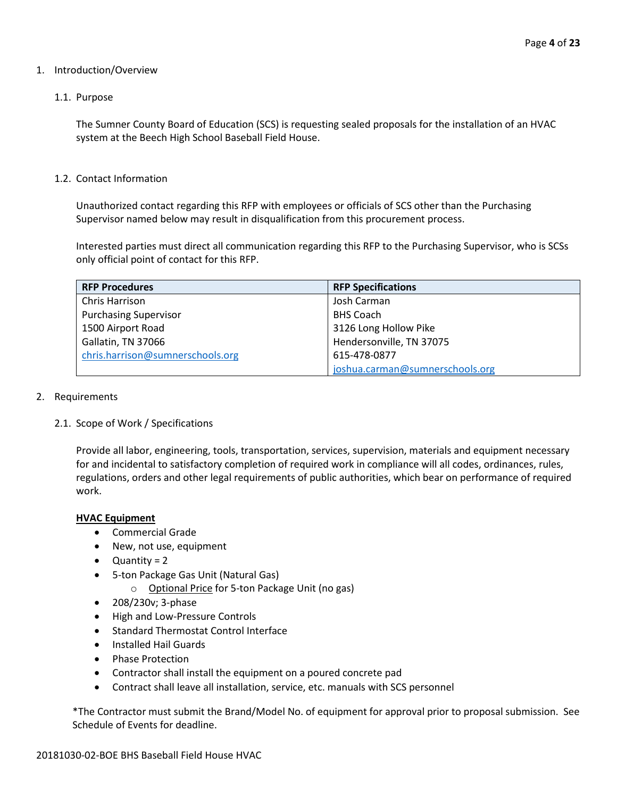#### 1. Introduction/Overview

#### 1.1. Purpose

The Sumner County Board of Education (SCS) is requesting sealed proposals for the installation of an HVAC system at the Beech High School Baseball Field House.

#### 1.2. Contact Information

Unauthorized contact regarding this RFP with employees or officials of SCS other than the Purchasing Supervisor named below may result in disqualification from this procurement process.

Interested parties must direct all communication regarding this RFP to the Purchasing Supervisor, who is SCSs only official point of contact for this RFP.

| <b>RFP Procedures</b>            | <b>RFP Specifications</b>       |
|----------------------------------|---------------------------------|
| Chris Harrison                   | Josh Carman                     |
| <b>Purchasing Supervisor</b>     | <b>BHS Coach</b>                |
| 1500 Airport Road                | 3126 Long Hollow Pike           |
| Gallatin, TN 37066               | Hendersonville, TN 37075        |
| chris.harrison@sumnerschools.org | 615-478-0877                    |
|                                  | joshua.carman@sumnerschools.org |

#### 2. Requirements

#### 2.1. Scope of Work / Specifications

Provide all labor, engineering, tools, transportation, services, supervision, materials and equipment necessary for and incidental to satisfactory completion of required work in compliance will all codes, ordinances, rules, regulations, orders and other legal requirements of public authorities, which bear on performance of required work.

#### **HVAC Equipment**

- Commercial Grade
- New, not use, equipment
- Quantity = 2
- 5-ton Package Gas Unit (Natural Gas)
	- o Optional Price for 5-ton Package Unit (no gas)
- 208/230v; 3-phase
- High and Low-Pressure Controls
- Standard Thermostat Control Interface
- Installed Hail Guards
- Phase Protection
- Contractor shall install the equipment on a poured concrete pad
- Contract shall leave all installation, service, etc. manuals with SCS personnel

\*The Contractor must submit the Brand/Model No. of equipment for approval prior to proposal submission. See Schedule of Events for deadline.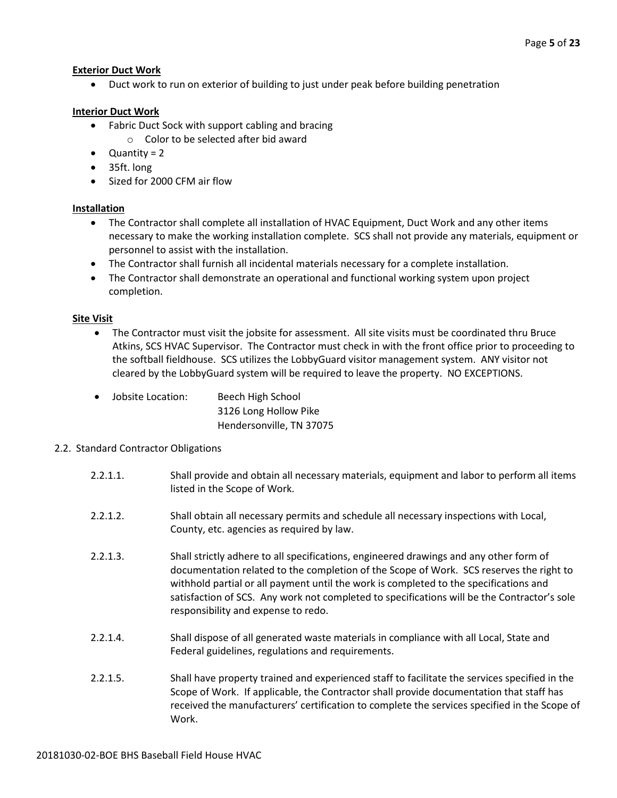#### **Exterior Duct Work**

• Duct work to run on exterior of building to just under peak before building penetration

#### **Interior Duct Work**

- Fabric Duct Sock with support cabling and bracing
	- o Color to be selected after bid award
- Quantity = 2
- 35ft. long
- Sized for 2000 CFM air flow

#### **Installation**

- The Contractor shall complete all installation of HVAC Equipment, Duct Work and any other items necessary to make the working installation complete. SCS shall not provide any materials, equipment or personnel to assist with the installation.
- The Contractor shall furnish all incidental materials necessary for a complete installation.
- The Contractor shall demonstrate an operational and functional working system upon project completion.

#### **Site Visit**

• The Contractor must visit the jobsite for assessment. All site visits must be coordinated thru Bruce Atkins, SCS HVAC Supervisor. The Contractor must check in with the front office prior to proceeding to the softball fieldhouse. SCS utilizes the LobbyGuard visitor management system. ANY visitor not cleared by the LobbyGuard system will be required to leave the property. NO EXCEPTIONS.

| Jobsite Location:<br>$\bullet$ | Beech High School        |
|--------------------------------|--------------------------|
|                                | 3126 Long Hollow Pike    |
|                                | Hendersonville, TN 37075 |

#### 2.2. Standard Contractor Obligations

- 2.2.1.1. Shall provide and obtain all necessary materials, equipment and labor to perform all items listed in the Scope of Work.
- 2.2.1.2. Shall obtain all necessary permits and schedule all necessary inspections with Local, County, etc. agencies as required by law.
- 2.2.1.3. Shall strictly adhere to all specifications, engineered drawings and any other form of documentation related to the completion of the Scope of Work. SCS reserves the right to withhold partial or all payment until the work is completed to the specifications and satisfaction of SCS. Any work not completed to specifications will be the Contractor's sole responsibility and expense to redo.
- 2.2.1.4. Shall dispose of all generated waste materials in compliance with all Local, State and Federal guidelines, regulations and requirements.
- 2.2.1.5. Shall have property trained and experienced staff to facilitate the services specified in the Scope of Work. If applicable, the Contractor shall provide documentation that staff has received the manufacturers' certification to complete the services specified in the Scope of Work.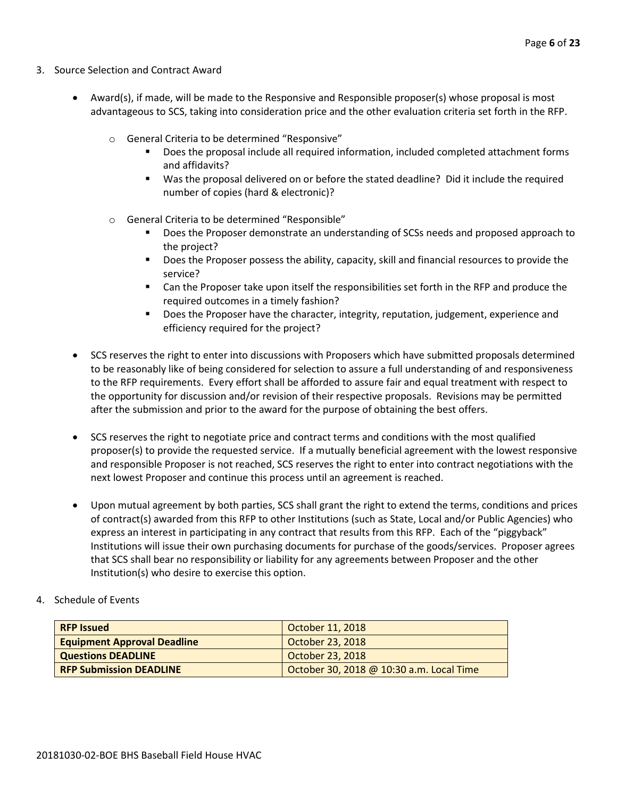- 3. Source Selection and Contract Award
	- Award(s), if made, will be made to the Responsive and Responsible proposer(s) whose proposal is most advantageous to SCS, taking into consideration price and the other evaluation criteria set forth in the RFP.
		- o General Criteria to be determined "Responsive"
			- Does the proposal include all required information, included completed attachment forms and affidavits?
			- Was the proposal delivered on or before the stated deadline? Did it include the required number of copies (hard & electronic)?
		- o General Criteria to be determined "Responsible"
			- Does the Proposer demonstrate an understanding of SCSs needs and proposed approach to the project?
			- **Does the Proposer possess the ability, capacity, skill and financial resources to provide the** service?
			- Can the Proposer take upon itself the responsibilities set forth in the RFP and produce the required outcomes in a timely fashion?
			- **Does the Proposer have the character, integrity, reputation, judgement, experience and** efficiency required for the project?
	- SCS reserves the right to enter into discussions with Proposers which have submitted proposals determined to be reasonably like of being considered for selection to assure a full understanding of and responsiveness to the RFP requirements. Every effort shall be afforded to assure fair and equal treatment with respect to the opportunity for discussion and/or revision of their respective proposals. Revisions may be permitted after the submission and prior to the award for the purpose of obtaining the best offers.
	- SCS reserves the right to negotiate price and contract terms and conditions with the most qualified proposer(s) to provide the requested service. If a mutually beneficial agreement with the lowest responsive and responsible Proposer is not reached, SCS reserves the right to enter into contract negotiations with the next lowest Proposer and continue this process until an agreement is reached.
	- Upon mutual agreement by both parties, SCS shall grant the right to extend the terms, conditions and prices of contract(s) awarded from this RFP to other Institutions (such as State, Local and/or Public Agencies) who express an interest in participating in any contract that results from this RFP. Each of the "piggyback" Institutions will issue their own purchasing documents for purchase of the goods/services. Proposer agrees that SCS shall bear no responsibility or liability for any agreements between Proposer and the other Institution(s) who desire to exercise this option.
- 4. Schedule of Events

| <b>RFP Issued</b>                  | October 11, 2018                         |
|------------------------------------|------------------------------------------|
| <b>Equipment Approval Deadline</b> | October 23, 2018                         |
| <b>Questions DEADLINE</b>          | October 23, 2018                         |
| <b>RFP Submission DEADLINE</b>     | October 30, 2018 @ 10:30 a.m. Local Time |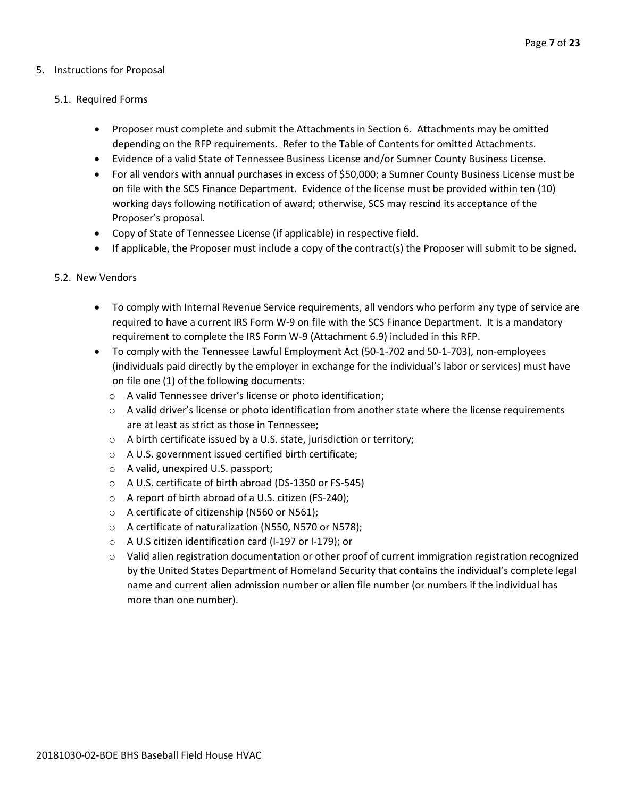#### 5. Instructions for Proposal

#### 5.1. Required Forms

- Proposer must complete and submit the Attachments in Section 6. Attachments may be omitted depending on the RFP requirements. Refer to the Table of Contents for omitted Attachments.
- Evidence of a valid State of Tennessee Business License and/or Sumner County Business License.
- For all vendors with annual purchases in excess of \$50,000; a Sumner County Business License must be on file with the SCS Finance Department. Evidence of the license must be provided within ten (10) working days following notification of award; otherwise, SCS may rescind its acceptance of the Proposer's proposal.
- Copy of State of Tennessee License (if applicable) in respective field.
- If applicable, the Proposer must include a copy of the contract(s) the Proposer will submit to be signed.

#### 5.2. New Vendors

- To comply with Internal Revenue Service requirements, all vendors who perform any type of service are required to have a current IRS Form W-9 on file with the SCS Finance Department. It is a mandatory requirement to complete the IRS Form W-9 (Attachment 6.9) included in this RFP.
- To comply with the Tennessee Lawful Employment Act (50-1-702 and 50-1-703), non-employees (individuals paid directly by the employer in exchange for the individual's labor or services) must have on file one (1) of the following documents:
	- o A valid Tennessee driver's license or photo identification;
	- $\circ$  A valid driver's license or photo identification from another state where the license requirements are at least as strict as those in Tennessee;
	- o A birth certificate issued by a U.S. state, jurisdiction or territory;
	- o A U.S. government issued certified birth certificate;
	- o A valid, unexpired U.S. passport;
	- o A U.S. certificate of birth abroad (DS-1350 or FS-545)
	- o A report of birth abroad of a U.S. citizen (FS-240);
	- o A certificate of citizenship (N560 or N561);
	- o A certificate of naturalization (N550, N570 or N578);
	- o A U.S citizen identification card (I-197 or I-179); or
	- $\circ$  Valid alien registration documentation or other proof of current immigration registration recognized by the United States Department of Homeland Security that contains the individual's complete legal name and current alien admission number or alien file number (or numbers if the individual has more than one number).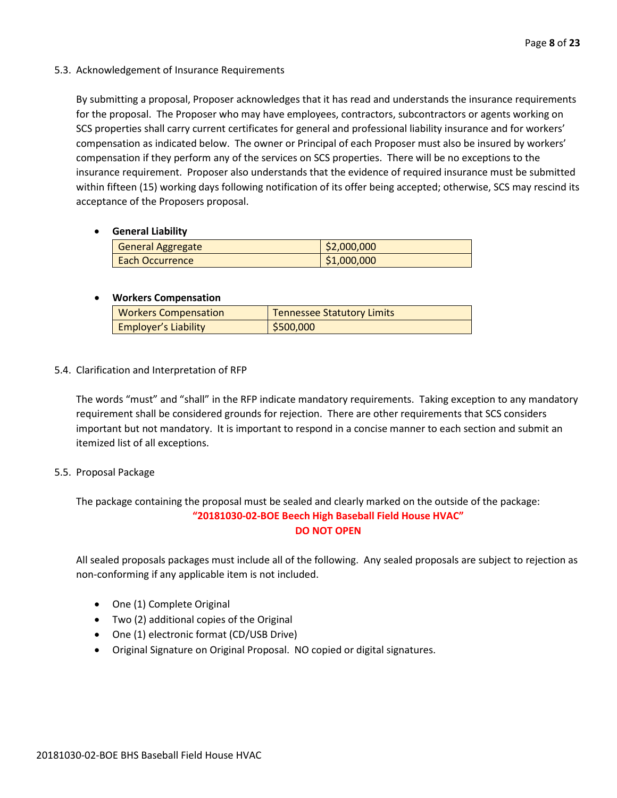#### 5.3. Acknowledgement of Insurance Requirements

By submitting a proposal, Proposer acknowledges that it has read and understands the insurance requirements for the proposal. The Proposer who may have employees, contractors, subcontractors or agents working on SCS properties shall carry current certificates for general and professional liability insurance and for workers' compensation as indicated below. The owner or Principal of each Proposer must also be insured by workers' compensation if they perform any of the services on SCS properties. There will be no exceptions to the insurance requirement. Proposer also understands that the evidence of required insurance must be submitted within fifteen (15) working days following notification of its offer being accepted; otherwise, SCS may rescind its acceptance of the Proposers proposal.

#### • **General Liability**

| <b>General Aggregate</b> | \$2,000,000 |
|--------------------------|-------------|
| <b>Each Occurrence</b>   | \$1,000,000 |

#### • **Workers Compensation**

| <b>Workers Compensation</b> | <b>Tennessee Statutory Limits</b> |
|-----------------------------|-----------------------------------|
| <b>Employer's Liability</b> | 5500,000                          |

#### 5.4. Clarification and Interpretation of RFP

The words "must" and "shall" in the RFP indicate mandatory requirements. Taking exception to any mandatory requirement shall be considered grounds for rejection. There are other requirements that SCS considers important but not mandatory. It is important to respond in a concise manner to each section and submit an itemized list of all exceptions.

#### 5.5. Proposal Package

The package containing the proposal must be sealed and clearly marked on the outside of the package: **"20181030-02-BOE Beech High Baseball Field House HVAC" DO NOT OPEN**

All sealed proposals packages must include all of the following. Any sealed proposals are subject to rejection as non-conforming if any applicable item is not included.

- One (1) Complete Original
- Two (2) additional copies of the Original
- One (1) electronic format (CD/USB Drive)
- Original Signature on Original Proposal. NO copied or digital signatures.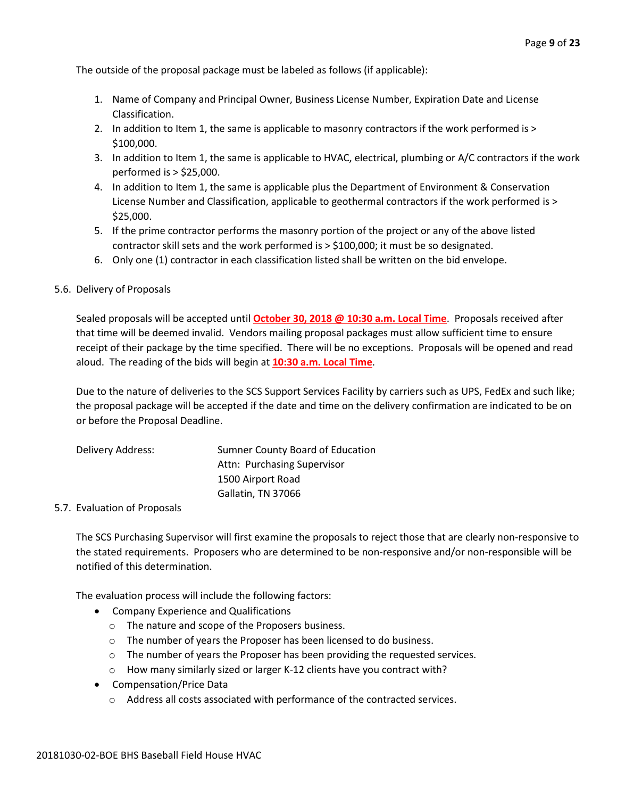The outside of the proposal package must be labeled as follows (if applicable):

- 1. Name of Company and Principal Owner, Business License Number, Expiration Date and License Classification.
- 2. In addition to Item 1, the same is applicable to masonry contractors if the work performed is > \$100,000.
- 3. In addition to Item 1, the same is applicable to HVAC, electrical, plumbing or A/C contractors if the work performed is > \$25,000.
- 4. In addition to Item 1, the same is applicable plus the Department of Environment & Conservation License Number and Classification, applicable to geothermal contractors if the work performed is > \$25,000.
- 5. If the prime contractor performs the masonry portion of the project or any of the above listed contractor skill sets and the work performed is > \$100,000; it must be so designated.
- 6. Only one (1) contractor in each classification listed shall be written on the bid envelope.

#### 5.6. Delivery of Proposals

Sealed proposals will be accepted until **October 30, 2018 @ 10:30 a.m. Local Time**. Proposals received after that time will be deemed invalid. Vendors mailing proposal packages must allow sufficient time to ensure receipt of their package by the time specified. There will be no exceptions. Proposals will be opened and read aloud. The reading of the bids will begin at **10:30 a.m. Local Time**.

Due to the nature of deliveries to the SCS Support Services Facility by carriers such as UPS, FedEx and such like; the proposal package will be accepted if the date and time on the delivery confirmation are indicated to be on or before the Proposal Deadline.

| Delivery Address: | Sumner County Board of Education |
|-------------------|----------------------------------|
|                   | Attn: Purchasing Supervisor      |
|                   | 1500 Airport Road                |
|                   | Gallatin, TN 37066               |

#### 5.7. Evaluation of Proposals

The SCS Purchasing Supervisor will first examine the proposals to reject those that are clearly non-responsive to the stated requirements. Proposers who are determined to be non-responsive and/or non-responsible will be notified of this determination.

The evaluation process will include the following factors:

- Company Experience and Qualifications
	- o The nature and scope of the Proposers business.
	- $\circ$  The number of years the Proposer has been licensed to do business.
	- $\circ$  The number of years the Proposer has been providing the requested services.
	- o How many similarly sized or larger K-12 clients have you contract with?
- Compensation/Price Data
	- o Address all costs associated with performance of the contracted services.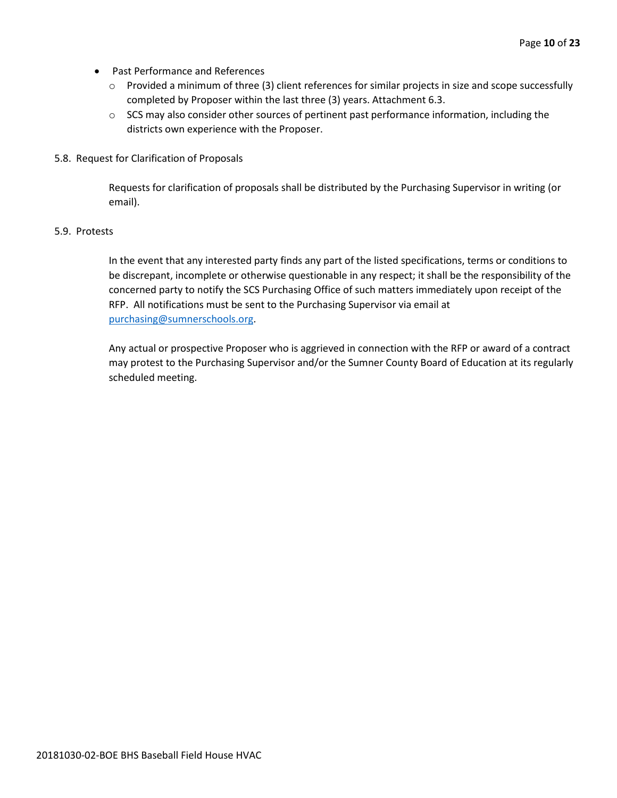- Past Performance and References
	- o Provided a minimum of three (3) client references for similar projects in size and scope successfully completed by Proposer within the last three (3) years. Attachment 6.3.
	- $\circ$  SCS may also consider other sources of pertinent past performance information, including the districts own experience with the Proposer.
- 5.8. Request for Clarification of Proposals

Requests for clarification of proposals shall be distributed by the Purchasing Supervisor in writing (or email).

#### 5.9. Protests

In the event that any interested party finds any part of the listed specifications, terms or conditions to be discrepant, incomplete or otherwise questionable in any respect; it shall be the responsibility of the concerned party to notify the SCS Purchasing Office of such matters immediately upon receipt of the RFP. All notifications must be sent to the Purchasing Supervisor via email at [purchasing@sumnerschools.org.](mailto:purchasing@sumnerschools.org)

Any actual or prospective Proposer who is aggrieved in connection with the RFP or award of a contract may protest to the Purchasing Supervisor and/or the Sumner County Board of Education at its regularly scheduled meeting.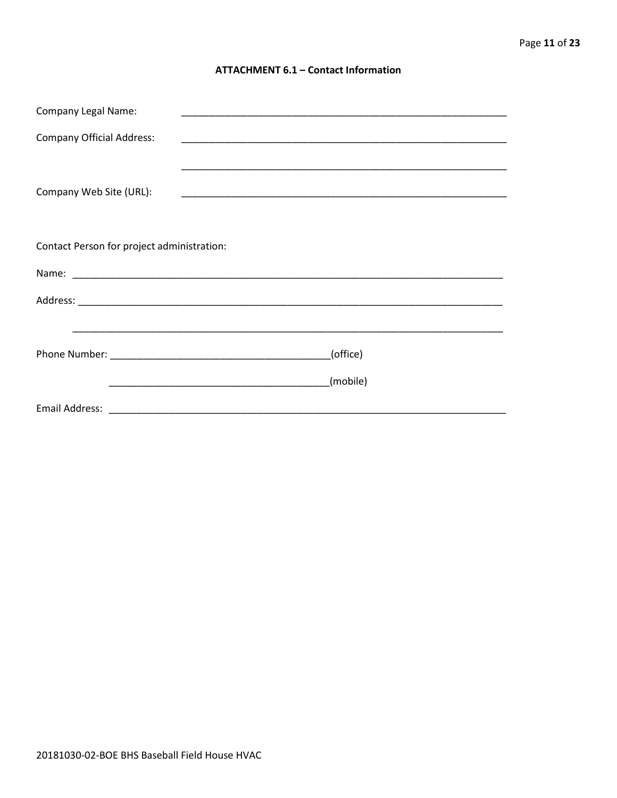#### **ATTACHMENT 6.1 - Contact Information**

| <b>Company Legal Name:</b>                 | <u> 1989 - Johann John Stoff, deutscher Stoffen und der Stoffen und der Stoffen und der Stoffen und der Stoffen u</u> |
|--------------------------------------------|-----------------------------------------------------------------------------------------------------------------------|
| <b>Company Official Address:</b>           |                                                                                                                       |
|                                            |                                                                                                                       |
| Company Web Site (URL):                    |                                                                                                                       |
| Contact Person for project administration: |                                                                                                                       |
|                                            |                                                                                                                       |
|                                            |                                                                                                                       |
|                                            |                                                                                                                       |
|                                            |                                                                                                                       |
|                                            | (office)                                                                                                              |
|                                            | (mobile)                                                                                                              |
|                                            | Email Address: 2008. 2009. 2009. 2009. 2010. 2010. 2010. 2010. 2010. 2010. 2010. 2010. 2010. 2010. 2010. 2010         |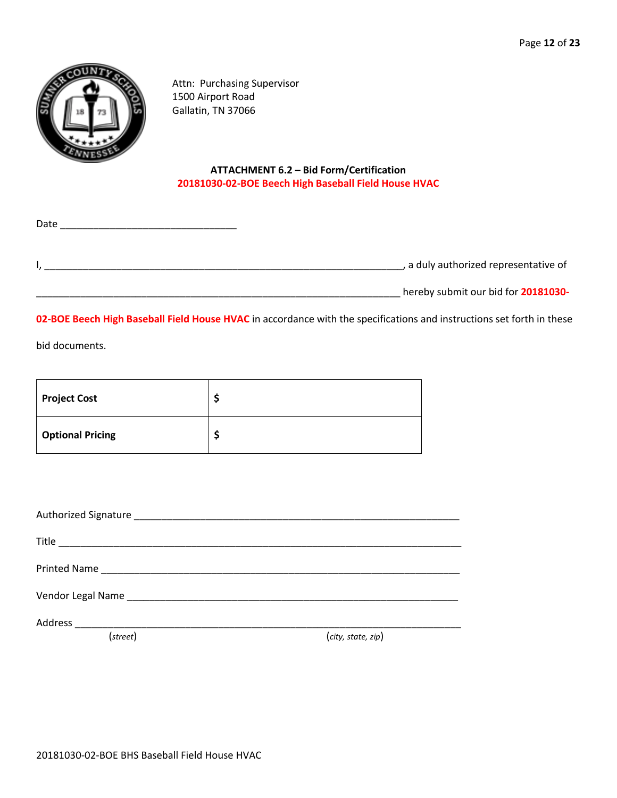

Attn: Purchasing Supervisor 1500 Airport Road Gallatin, TN 37066

#### **ATTACHMENT 6.2 – Bid Form/Certification 20181030-02-BOE Beech High Baseball Field House HVAC**

| Date |                                     |
|------|-------------------------------------|
|      | a duly authorized representative of |
|      | hereby submit our bid for 20181030- |

**02-BOE Beech High Baseball Field House HVAC** in accordance with the specifications and instructions set forth in these

bid documents.

| <b>Project Cost</b>     |  |
|-------------------------|--|
| <b>Optional Pricing</b> |  |

| (street) | (city, state, zip) |
|----------|--------------------|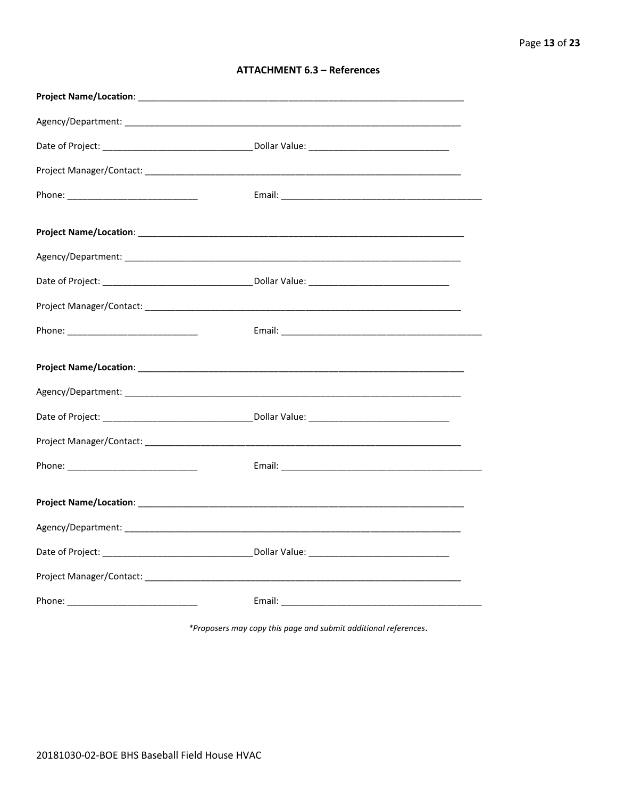| <b>ATTACHMENT 6.3 - References</b> |  |  |
|------------------------------------|--|--|
|------------------------------------|--|--|

\*Proposers may copy this page and submit additional references.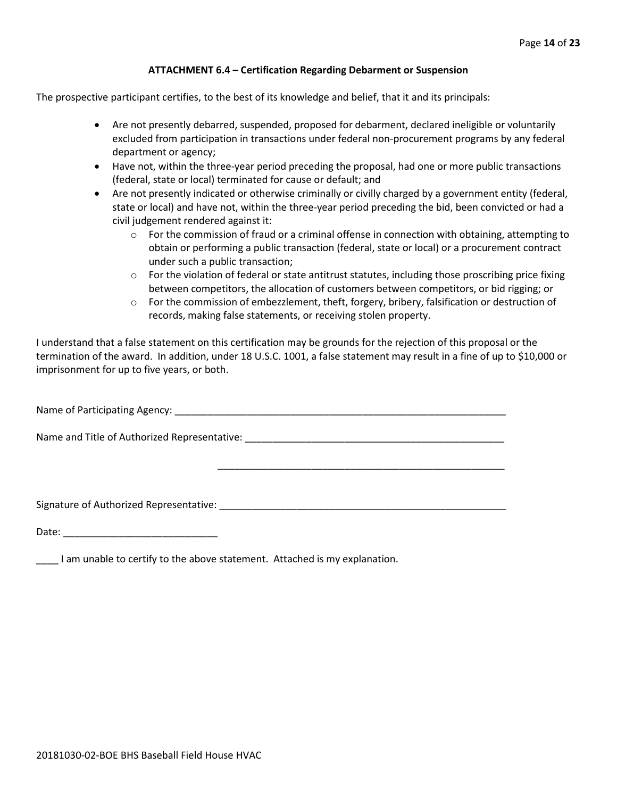#### **ATTACHMENT 6.4 – Certification Regarding Debarment or Suspension**

The prospective participant certifies, to the best of its knowledge and belief, that it and its principals:

- Are not presently debarred, suspended, proposed for debarment, declared ineligible or voluntarily excluded from participation in transactions under federal non-procurement programs by any federal department or agency;
- Have not, within the three-year period preceding the proposal, had one or more public transactions (federal, state or local) terminated for cause or default; and
- Are not presently indicated or otherwise criminally or civilly charged by a government entity (federal, state or local) and have not, within the three-year period preceding the bid, been convicted or had a civil judgement rendered against it:
	- $\circ$  For the commission of fraud or a criminal offense in connection with obtaining, attempting to obtain or performing a public transaction (federal, state or local) or a procurement contract under such a public transaction;
	- $\circ$  For the violation of federal or state antitrust statutes, including those proscribing price fixing between competitors, the allocation of customers between competitors, or bid rigging; or
	- $\circ$  For the commission of embezzlement, theft, forgery, bribery, falsification or destruction of records, making false statements, or receiving stolen property.

\_\_\_\_\_\_\_\_\_\_\_\_\_\_\_\_\_\_\_\_\_\_\_\_\_\_\_\_\_\_\_\_\_\_\_\_\_\_\_\_\_\_\_\_\_\_\_\_\_\_\_\_

I understand that a false statement on this certification may be grounds for the rejection of this proposal or the termination of the award. In addition, under 18 U.S.C. 1001, a false statement may result in a fine of up to \$10,000 or imprisonment for up to five years, or both.

Name of Participating Agency: \_\_\_\_\_\_\_\_\_\_\_\_\_\_\_\_\_\_\_\_\_\_\_\_\_\_\_\_\_\_\_\_\_\_\_\_\_\_\_\_\_\_\_\_\_\_\_\_\_\_\_\_\_\_\_\_\_\_\_\_

Name and Title of Authorized Representative: \_\_\_\_\_\_\_\_\_\_\_\_\_\_\_\_\_\_\_\_\_\_\_\_\_\_\_\_\_\_\_\_\_\_\_\_\_\_\_\_\_\_\_\_\_\_\_

Signature of Authorized Representative: \_\_\_\_\_\_\_\_\_\_\_\_\_\_\_\_\_\_\_\_\_\_\_\_\_\_\_\_\_\_\_\_\_\_\_\_\_\_\_\_\_\_\_\_\_\_\_\_\_\_\_\_

Date: \_\_\_\_\_\_\_\_\_\_\_\_\_\_\_\_\_\_\_\_\_\_\_\_\_\_\_\_

\_\_\_\_ I am unable to certify to the above statement. Attached is my explanation.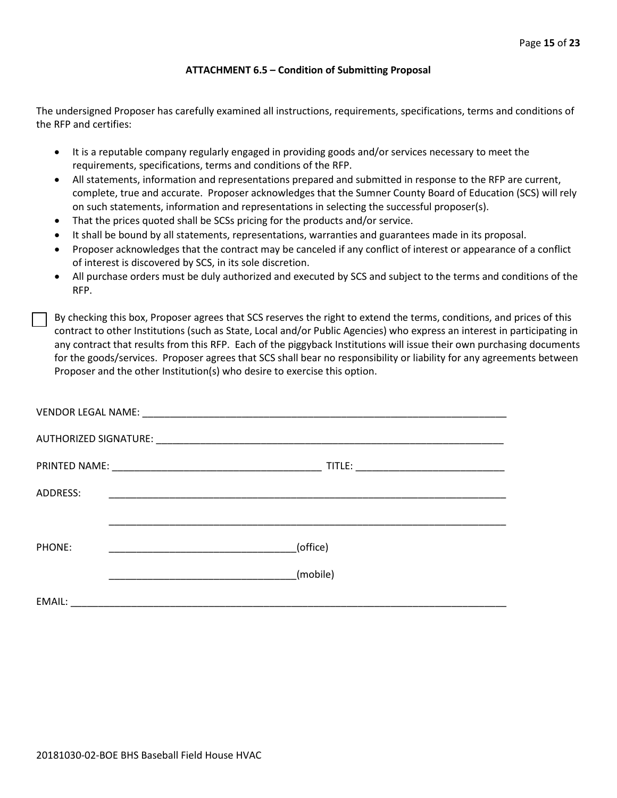#### **ATTACHMENT 6.5 – Condition of Submitting Proposal**

The undersigned Proposer has carefully examined all instructions, requirements, specifications, terms and conditions of the RFP and certifies:

- It is a reputable company regularly engaged in providing goods and/or services necessary to meet the requirements, specifications, terms and conditions of the RFP.
- All statements, information and representations prepared and submitted in response to the RFP are current, complete, true and accurate. Proposer acknowledges that the Sumner County Board of Education (SCS) will rely on such statements, information and representations in selecting the successful proposer(s).
- That the prices quoted shall be SCSs pricing for the products and/or service.
- It shall be bound by all statements, representations, warranties and guarantees made in its proposal.
- Proposer acknowledges that the contract may be canceled if any conflict of interest or appearance of a conflict of interest is discovered by SCS, in its sole discretion.
- All purchase orders must be duly authorized and executed by SCS and subject to the terms and conditions of the RFP.

By checking this box, Proposer agrees that SCS reserves the right to extend the terms, conditions, and prices of this contract to other Institutions (such as State, Local and/or Public Agencies) who express an interest in participating in any contract that results from this RFP. Each of the piggyback Institutions will issue their own purchasing documents for the goods/services. Proposer agrees that SCS shall bear no responsibility or liability for any agreements between Proposer and the other Institution(s) who desire to exercise this option.

| ADDRESS: | <u> 1990 - Johann John Stone, markin film yn y brening yn y brening yn y brening yn y brening yn y brening yn y b</u> |          |  |
|----------|-----------------------------------------------------------------------------------------------------------------------|----------|--|
|          |                                                                                                                       |          |  |
| PHONE:   |                                                                                                                       | (office) |  |
|          |                                                                                                                       | (mobile) |  |
| EMAIL:   |                                                                                                                       |          |  |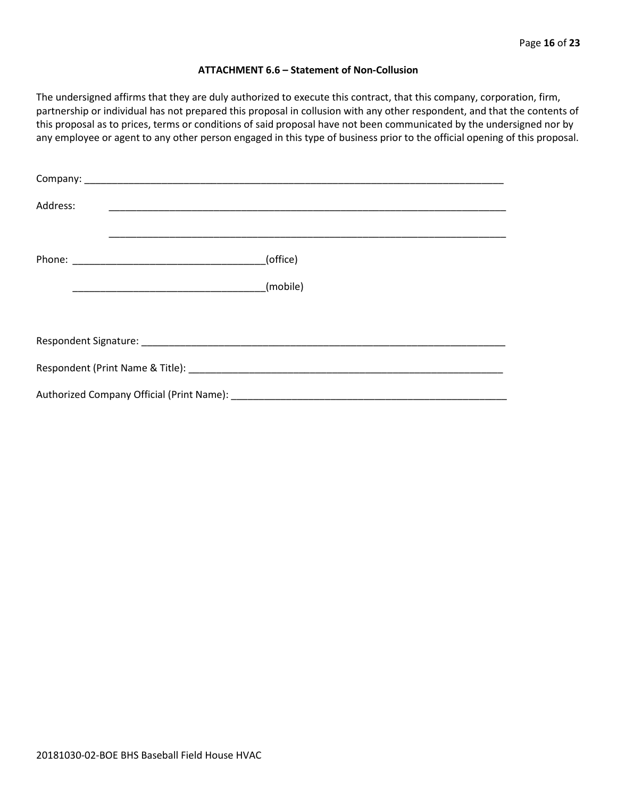#### **ATTACHMENT 6.6 – Statement of Non-Collusion**

The undersigned affirms that they are duly authorized to execute this contract, that this company, corporation, firm, partnership or individual has not prepared this proposal in collusion with any other respondent, and that the contents of this proposal as to prices, terms or conditions of said proposal have not been communicated by the undersigned nor by any employee or agent to any other person engaged in this type of business prior to the official opening of this proposal.

| Address: |          |
|----------|----------|
|          | (office) |
|          | (mobile) |
|          |          |
|          |          |
|          |          |
|          |          |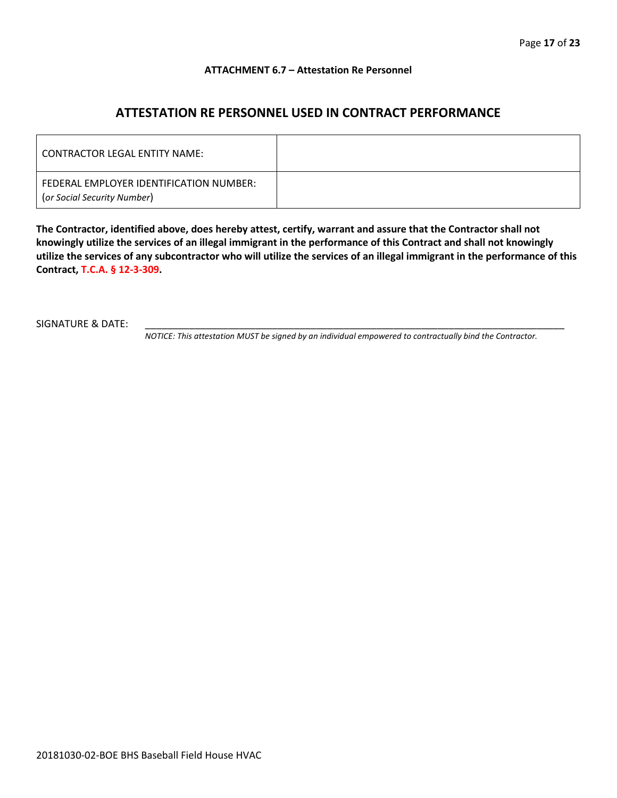#### **ATTACHMENT 6.7 – Attestation Re Personnel**

### **ATTESTATION RE PERSONNEL USED IN CONTRACT PERFORMANCE**

| CONTRACTOR LEGAL ENTITY NAME:                                          |  |
|------------------------------------------------------------------------|--|
| FEDERAL EMPLOYER IDENTIFICATION NUMBER:<br>(or Social Security Number) |  |

**The Contractor, identified above, does hereby attest, certify, warrant and assure that the Contractor shall not knowingly utilize the services of an illegal immigrant in the performance of this Contract and shall not knowingly utilize the services of any subcontractor who will utilize the services of an illegal immigrant in the performance of this Contract, T.C.A. § 12-3-309.**

SIGNATURE & DATE:

*NOTICE: This attestation MUST be signed by an individual empowered to contractually bind the Contractor.*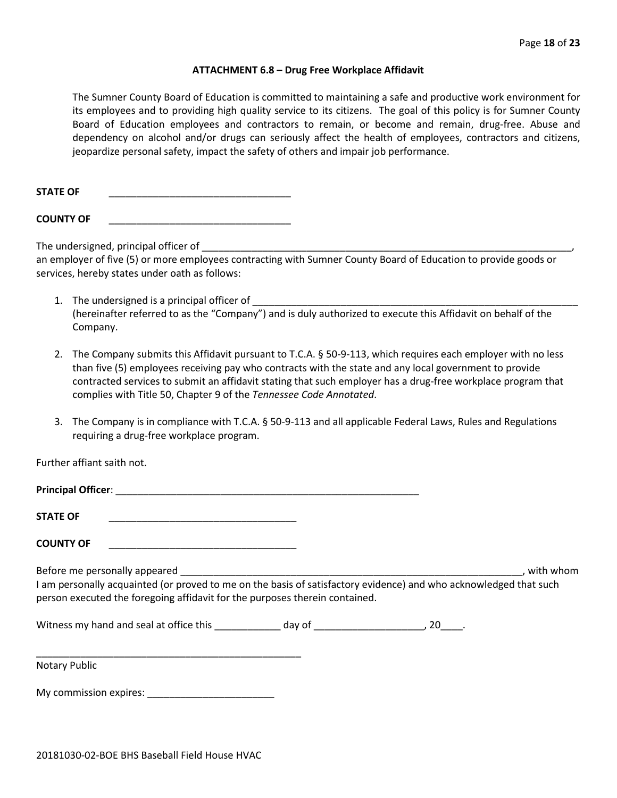#### **ATTACHMENT 6.8 – Drug Free Workplace Affidavit**

The Sumner County Board of Education is committed to maintaining a safe and productive work environment for its employees and to providing high quality service to its citizens. The goal of this policy is for Sumner County Board of Education employees and contractors to remain, or become and remain, drug-free. Abuse and dependency on alcohol and/or drugs can seriously affect the health of employees, contractors and citizens, jeopardize personal safety, impact the safety of others and impair job performance.

**STATE OF** \_\_\_\_\_\_\_\_\_\_\_\_\_\_\_\_\_\_\_\_\_\_\_\_\_\_\_\_\_\_\_\_\_

**COUNTY OF** \_\_\_\_\_\_\_\_\_\_\_\_\_\_\_\_\_\_\_\_\_\_\_\_\_\_\_\_\_\_\_\_\_

The undersigned, principal officer of

an employer of five (5) or more employees contracting with Sumner County Board of Education to provide goods or services, hereby states under oath as follows:

- 1. The undersigned is a principal officer of (hereinafter referred to as the "Company") and is duly authorized to execute this Affidavit on behalf of the Company.
- 2. The Company submits this Affidavit pursuant to T.C.A. § 50-9-113, which requires each employer with no less than five (5) employees receiving pay who contracts with the state and any local government to provide contracted services to submit an affidavit stating that such employer has a drug-free workplace program that complies with Title 50, Chapter 9 of the *Tennessee Code Annotated*.
- 3. The Company is in compliance with T.C.A. § 50-9-113 and all applicable Federal Laws, Rules and Regulations requiring a drug-free workplace program.

Further affiant saith not.

| <b>STATE OF</b>                                                                                                                                                                                                                                                                                                                                                                                                                    |  |           |
|------------------------------------------------------------------------------------------------------------------------------------------------------------------------------------------------------------------------------------------------------------------------------------------------------------------------------------------------------------------------------------------------------------------------------------|--|-----------|
| <b>COUNTY OF</b><br>the control of the property of the control of the control of the control of the control of                                                                                                                                                                                                                                                                                                                     |  |           |
| Before me personally appeared and the state of the state of the state of the state of the state of the state of the state of the state of the state of the state of the state of the state of the state of the state of the st<br>I am personally acquainted (or proved to me on the basis of satisfactory evidence) and who acknowledged that such<br>person executed the foregoing affidavit for the purposes therein contained. |  | with whom |
| Nitness my hand and seal at office this because of the day of the case of the control of the control of the control of the control of the control of the control of the control of the control of the control of the control o                                                                                                                                                                                                     |  |           |
| <b>Notary Public</b>                                                                                                                                                                                                                                                                                                                                                                                                               |  |           |

My commission expires: \_\_\_\_\_\_\_\_\_\_\_\_\_\_\_\_\_\_\_\_\_\_\_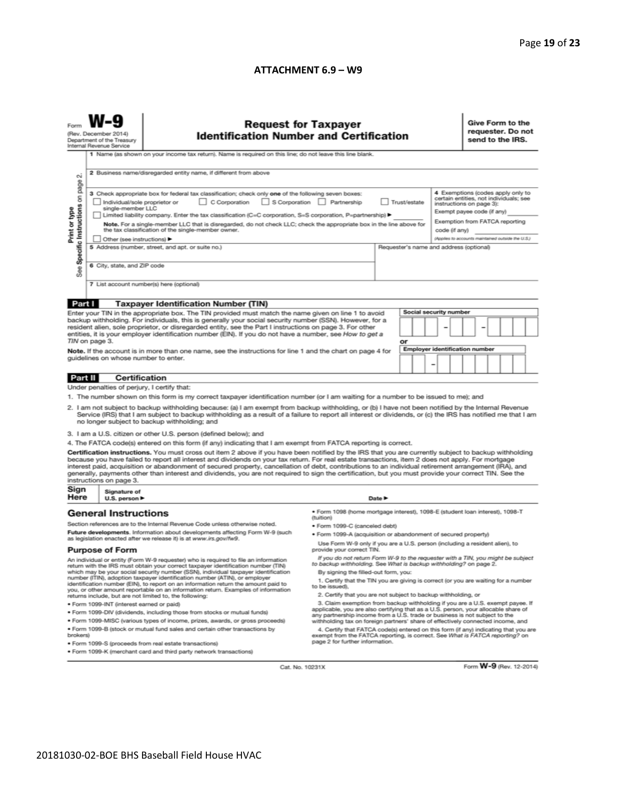#### **ATTACHMENT 6.9 – W9**

|                                                                                                                                                                                                                                                                                                                                                                                                                                                                                                                                                                                                                                                                                                                                                                                                                                                                                                                                                                                                                                                                                                                                                                                                                                                                                                                                                                                                                                                                                                                                                                                                                                                                                                                                                                                                                                                                                                                                                                                                                                                                                                                                                                                                                                                                                                                                                                                                                                                                                        | <b>Request for Taxpayer</b><br>(Rev. December 2014)<br><b>Identification Number and Certification</b><br>Department of the Treasury<br>Internal Revenue Service<br>1 Name (as shown on your income tax return). Name is required on this line; do not leave this line blank. |                                                                    |  |        |  |                                                                                                                                                                                                                              |  | Give Form to the<br>requester. Do not<br>send to the IRS. |  |  |  |  |
|----------------------------------------------------------------------------------------------------------------------------------------------------------------------------------------------------------------------------------------------------------------------------------------------------------------------------------------------------------------------------------------------------------------------------------------------------------------------------------------------------------------------------------------------------------------------------------------------------------------------------------------------------------------------------------------------------------------------------------------------------------------------------------------------------------------------------------------------------------------------------------------------------------------------------------------------------------------------------------------------------------------------------------------------------------------------------------------------------------------------------------------------------------------------------------------------------------------------------------------------------------------------------------------------------------------------------------------------------------------------------------------------------------------------------------------------------------------------------------------------------------------------------------------------------------------------------------------------------------------------------------------------------------------------------------------------------------------------------------------------------------------------------------------------------------------------------------------------------------------------------------------------------------------------------------------------------------------------------------------------------------------------------------------------------------------------------------------------------------------------------------------------------------------------------------------------------------------------------------------------------------------------------------------------------------------------------------------------------------------------------------------------------------------------------------------------------------------------------------------|------------------------------------------------------------------------------------------------------------------------------------------------------------------------------------------------------------------------------------------------------------------------------|--------------------------------------------------------------------|--|--------|--|------------------------------------------------------------------------------------------------------------------------------------------------------------------------------------------------------------------------------|--|-----------------------------------------------------------|--|--|--|--|
| 2 Business name/disregarded entity name, if different from above<br>$\sim$<br>Specific Instructions on page<br>3 Check appropriate box for federal tax classification; check only one of the following seven boxes:<br>C Corporation S Corporation Partnership<br>Individual/sole proprietor or<br>Trust/estate<br>Print or type<br>single-member LLC<br>Limited liability company. Enter the tax classification (C=C corporation, S=S corporation, P=partnership) ><br>Note. For a single-member LLC that is disregarded, do not check LLC; check the appropriate box in the line above for<br>the tax classification of the single-member owner.<br>code (if any)<br>Other (see instructions) ▶<br>5 Address (number, street, and apt. or suite no.)<br>Requester's name and address (optional)<br>6 City, state, and ZIP code<br>See<br>7 List account number(s) here (optional)                                                                                                                                                                                                                                                                                                                                                                                                                                                                                                                                                                                                                                                                                                                                                                                                                                                                                                                                                                                                                                                                                                                                                                                                                                                                                                                                                                                                                                                                                                                                                                                                    |                                                                                                                                                                                                                                                                              |                                                                    |  |        |  | 4 Exemptions (codes apply only to<br>certain entities, not individuals; see<br>instructions on page 3):<br>Exempt payee code (if any)<br>Exemption from FATCA reporting<br>(Applies to accounts maintained outside the U.S.) |  |                                                           |  |  |  |  |
|                                                                                                                                                                                                                                                                                                                                                                                                                                                                                                                                                                                                                                                                                                                                                                                                                                                                                                                                                                                                                                                                                                                                                                                                                                                                                                                                                                                                                                                                                                                                                                                                                                                                                                                                                                                                                                                                                                                                                                                                                                                                                                                                                                                                                                                                                                                                                                                                                                                                                        |                                                                                                                                                                                                                                                                              |                                                                    |  |        |  |                                                                                                                                                                                                                              |  |                                                           |  |  |  |  |
| Part I<br><b>Taxpayer Identification Number (TIN)</b><br><b>Social security number</b><br>Enter your TIN in the appropriate box. The TIN provided must match the name given on line 1 to avoid<br>backup withholding. For individuals, this is generally your social security number (SSN). However, for a<br>resident alien, sole proprietor, or disregarded entity, see the Part I instructions on page 3. For other<br>entities, it is your employer identification number (EIN). If you do not have a number, see How to get a<br>TIN on page 3.<br>or<br><b>Employer identification number</b><br>Note. If the account is in more than one name, see the instructions for line 1 and the chart on page 4 for<br>guidelines on whose number to enter.                                                                                                                                                                                                                                                                                                                                                                                                                                                                                                                                                                                                                                                                                                                                                                                                                                                                                                                                                                                                                                                                                                                                                                                                                                                                                                                                                                                                                                                                                                                                                                                                                                                                                                                              |                                                                                                                                                                                                                                                                              |                                                                    |  |        |  |                                                                                                                                                                                                                              |  |                                                           |  |  |  |  |
| Part II                                                                                                                                                                                                                                                                                                                                                                                                                                                                                                                                                                                                                                                                                                                                                                                                                                                                                                                                                                                                                                                                                                                                                                                                                                                                                                                                                                                                                                                                                                                                                                                                                                                                                                                                                                                                                                                                                                                                                                                                                                                                                                                                                                                                                                                                                                                                                                                                                                                                                | Certification                                                                                                                                                                                                                                                                |                                                                    |  |        |  |                                                                                                                                                                                                                              |  |                                                           |  |  |  |  |
| Under penalties of perjury, I certify that:<br>1. The number shown on this form is my correct taxpayer identification number (or I am waiting for a number to be issued to me); and<br>2. I am not subject to backup withholding because: (a) I am exempt from backup withholding, or (b) I have not been notified by the Internal Revenue<br>Service (IRS) that I am subject to backup withholding as a result of a failure to report all interest or dividends, or (c) the IRS has notified me that I am<br>no longer subject to backup withholding; and<br>3. I am a U.S. citizen or other U.S. person (defined below); and<br>4. The FATCA code(s) entered on this form (if any) indicating that I am exempt from FATCA reporting is correct.<br>Certification instructions. You must cross out item 2 above if you have been notified by the IRS that you are currently subject to backup withholding<br>because you have failed to report all interest and dividends on your tax return. For real estate transactions, item 2 does not apply. For mortgage<br>interest paid, acquisition or abandonment of secured property, cancellation of debt, contributions to an individual retirement arrangement (IRA), and<br>generally, payments other than interest and dividends, you are not required to sign the certification, but you must provide your correct TIN. See the<br>instructions on page 3.                                                                                                                                                                                                                                                                                                                                                                                                                                                                                                                                                                                                                                                                                                                                                                                                                                                                                                                                                                                                                                                                          |                                                                                                                                                                                                                                                                              |                                                                    |  |        |  |                                                                                                                                                                                                                              |  |                                                           |  |  |  |  |
| Sign<br>Here                                                                                                                                                                                                                                                                                                                                                                                                                                                                                                                                                                                                                                                                                                                                                                                                                                                                                                                                                                                                                                                                                                                                                                                                                                                                                                                                                                                                                                                                                                                                                                                                                                                                                                                                                                                                                                                                                                                                                                                                                                                                                                                                                                                                                                                                                                                                                                                                                                                                           | Signature of<br>U.S. person $\blacktriangleright$                                                                                                                                                                                                                            |                                                                    |  | Date P |  |                                                                                                                                                                                                                              |  |                                                           |  |  |  |  |
| ● Form 1098 (home mortgage interest), 1098-E (student loan interest), 1098-T<br><b>General Instructions</b><br>(tuition)<br>Section references are to the Internal Revenue Code unless otherwise noted.<br>· Form 1099-C (canceled debt)<br>Future developments. Information about developments affecting Form W-9 (such<br>. Form 1099-A (acquisition or abandonment of secured property)<br>as legislation enacted after we release it) is at www.irs.gov/fw9.<br>Use Form W-9 only if you are a U.S. person (including a resident alien), to<br><b>Purpose of Form</b><br>provide your correct TIN.<br>If you do not return Form W-9 to the requester with a TIN, you might be subject<br>An individual or entity (Form W-9 requester) who is required to file an information<br>to backup withholding. See What is backup withholding? on page 2.<br>return with the IRS must obtain your correct taxpayer identification number (TIN)<br>which may be your social security number (SSN), individual taxpayer identification<br>By signing the filled-out form, you:<br>number (ITIN), adoption taxpayer identification number (ATIN), or employer<br>1. Certify that the TIN you are giving is correct (or you are waiting for a number<br>identification number (EIN), to report on an information return the amount paid to<br>to be issued).<br>you, or other amount reportable on an information return. Examples of information<br>2. Certify that you are not subject to backup withholding, or<br>returns include, but are not limited to, the following:<br>3. Claim exemption from backup withholding if you are a U.S. exempt payee. If<br>· Form 1099-INT (interest earned or paid)<br>applicable, you are also certifying that as a U.S. person, your allocable share of<br>. Form 1099-DIV (dividends, including those from stocks or mutual funds)<br>any partnership income from a U.S. trade or business is not subject to the<br>. Form 1099-MISC (various types of income, prizes, awards, or gross proceeds)<br>withholding tax on foreign partners' share of effectively connected income, and<br>. Form 1099-B (stock or mutual fund sales and certain other transactions by<br>4. Certify that FATCA code(s) entered on this form (if any) indicating that you are<br>brokers)<br>exempt from the FATCA reporting, is correct. See What is FATCA reporting? on<br>page 2 for further information.<br>· Form 1099-S (proceeds from real estate transactions) |                                                                                                                                                                                                                                                                              |                                                                    |  |        |  |                                                                                                                                                                                                                              |  |                                                           |  |  |  |  |
|                                                                                                                                                                                                                                                                                                                                                                                                                                                                                                                                                                                                                                                                                                                                                                                                                                                                                                                                                                                                                                                                                                                                                                                                                                                                                                                                                                                                                                                                                                                                                                                                                                                                                                                                                                                                                                                                                                                                                                                                                                                                                                                                                                                                                                                                                                                                                                                                                                                                                        |                                                                                                                                                                                                                                                                              | . Form 1099-K (merchant card and third party network transactions) |  |        |  |                                                                                                                                                                                                                              |  |                                                           |  |  |  |  |

Cat. No. 10231X

Form W-9 (Rev. 12-2014)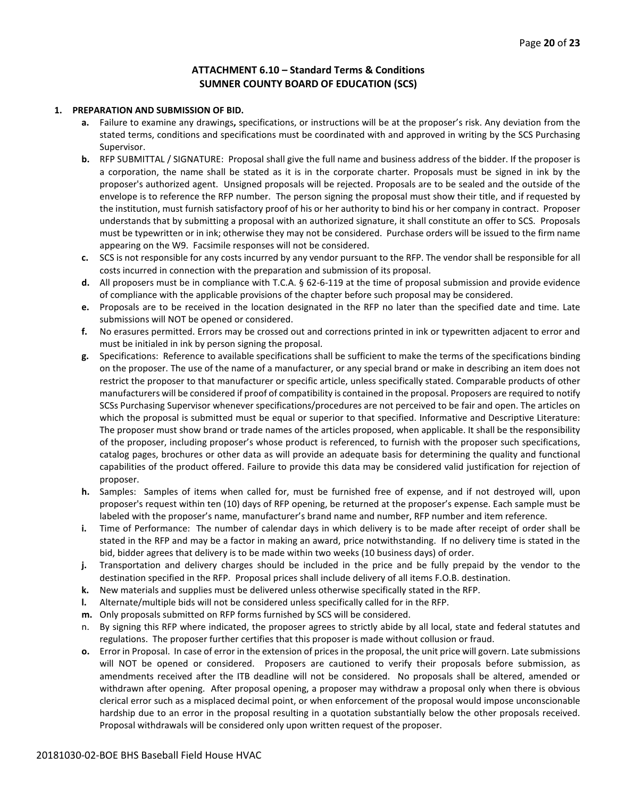#### **ATTACHMENT 6.10 – Standard Terms & Conditions SUMNER COUNTY BOARD OF EDUCATION (SCS)**

#### **1. PREPARATION AND SUBMISSION OF BID.**

- **a.** Failure to examine any drawings**,** specifications, or instructions will be at the proposer's risk. Any deviation from the stated terms, conditions and specifications must be coordinated with and approved in writing by the SCS Purchasing Supervisor.
- **b.** RFP SUBMITTAL / SIGNATURE: Proposal shall give the full name and business address of the bidder. If the proposer is a corporation, the name shall be stated as it is in the corporate charter. Proposals must be signed in ink by the proposer's authorized agent. Unsigned proposals will be rejected. Proposals are to be sealed and the outside of the envelope is to reference the RFP number. The person signing the proposal must show their title, and if requested by the institution, must furnish satisfactory proof of his or her authority to bind his or her company in contract. Proposer understands that by submitting a proposal with an authorized signature, it shall constitute an offer to SCS. Proposals must be typewritten or in ink; otherwise they may not be considered. Purchase orders will be issued to the firm name appearing on the W9. Facsimile responses will not be considered.
- **c.** SCS is not responsible for any costs incurred by any vendor pursuant to the RFP. The vendor shall be responsible for all costs incurred in connection with the preparation and submission of its proposal.
- **d.** All proposers must be in compliance with T.C.A. § 62-6-119 at the time of proposal submission and provide evidence of compliance with the applicable provisions of the chapter before such proposal may be considered.
- **e.** Proposals are to be received in the location designated in the RFP no later than the specified date and time. Late submissions will NOT be opened or considered.
- **f.** No erasures permitted. Errors may be crossed out and corrections printed in ink or typewritten adjacent to error and must be initialed in ink by person signing the proposal.
- **g.** Specifications: Reference to available specifications shall be sufficient to make the terms of the specifications binding on the proposer. The use of the name of a manufacturer, or any special brand or make in describing an item does not restrict the proposer to that manufacturer or specific article, unless specifically stated. Comparable products of other manufacturers will be considered if proof of compatibility is contained in the proposal. Proposers are required to notify SCSs Purchasing Supervisor whenever specifications/procedures are not perceived to be fair and open. The articles on which the proposal is submitted must be equal or superior to that specified. Informative and Descriptive Literature: The proposer must show brand or trade names of the articles proposed, when applicable. It shall be the responsibility of the proposer, including proposer's whose product is referenced, to furnish with the proposer such specifications, catalog pages, brochures or other data as will provide an adequate basis for determining the quality and functional capabilities of the product offered. Failure to provide this data may be considered valid justification for rejection of proposer.
- **h.** Samples: Samples of items when called for, must be furnished free of expense, and if not destroyed will, upon proposer's request within ten (10) days of RFP opening, be returned at the proposer's expense. Each sample must be labeled with the proposer's name, manufacturer's brand name and number, RFP number and item reference.
- **i.** Time of Performance: The number of calendar days in which delivery is to be made after receipt of order shall be stated in the RFP and may be a factor in making an award, price notwithstanding. If no delivery time is stated in the bid, bidder agrees that delivery is to be made within two weeks (10 business days) of order.
- **j.** Transportation and delivery charges should be included in the price and be fully prepaid by the vendor to the destination specified in the RFP. Proposal prices shall include delivery of all items F.O.B. destination.
- **k.** New materials and supplies must be delivered unless otherwise specifically stated in the RFP.
- **l.** Alternate/multiple bids will not be considered unless specifically called for in the RFP.
- **m.** Only proposals submitted on RFP forms furnished by SCS will be considered.
- n. By signing this RFP where indicated, the proposer agrees to strictly abide by all local, state and federal statutes and regulations. The proposer further certifies that this proposer is made without collusion or fraud.
- **o.** Error in Proposal. In case of error in the extension of prices in the proposal, the unit price will govern. Late submissions will NOT be opened or considered. Proposers are cautioned to verify their proposals before submission, as amendments received after the ITB deadline will not be considered. No proposals shall be altered, amended or withdrawn after opening. After proposal opening, a proposer may withdraw a proposal only when there is obvious clerical error such as a misplaced decimal point, or when enforcement of the proposal would impose unconscionable hardship due to an error in the proposal resulting in a quotation substantially below the other proposals received. Proposal withdrawals will be considered only upon written request of the proposer.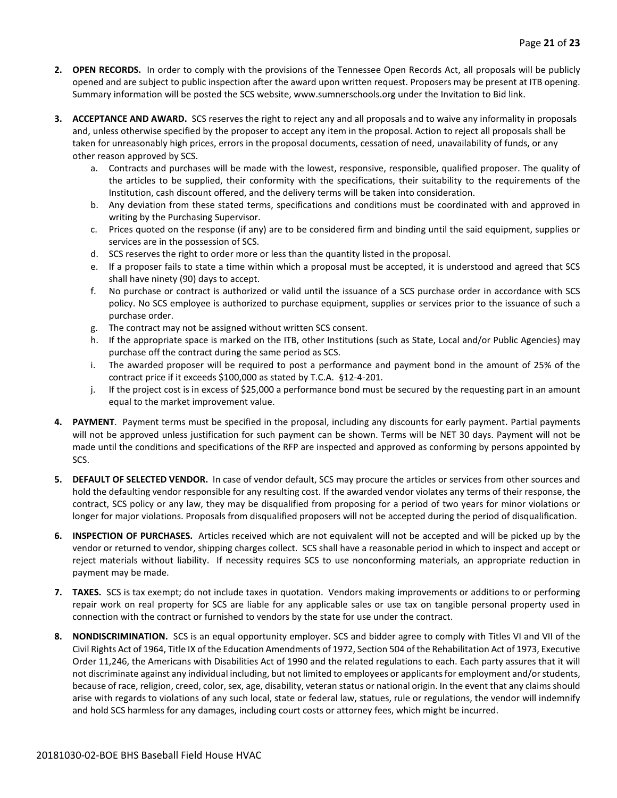- **2. OPEN RECORDS.** In order to comply with the provisions of the Tennessee Open Records Act, all proposals will be publicly opened and are subject to public inspection after the award upon written request. Proposers may be present at ITB opening. Summary information will be posted the SCS website, www.sumnerschools.org under the Invitation to Bid link.
- **3. ACCEPTANCE AND AWARD.** SCS reserves the right to reject any and all proposals and to waive any informality in proposals and, unless otherwise specified by the proposer to accept any item in the proposal. Action to reject all proposals shall be taken for unreasonably high prices, errors in the proposal documents, cessation of need, unavailability of funds, or any other reason approved by SCS.
	- a. Contracts and purchases will be made with the lowest, responsive, responsible, qualified proposer. The quality of the articles to be supplied, their conformity with the specifications, their suitability to the requirements of the Institution, cash discount offered, and the delivery terms will be taken into consideration.
	- b. Any deviation from these stated terms, specifications and conditions must be coordinated with and approved in writing by the Purchasing Supervisor.
	- c. Prices quoted on the response (if any) are to be considered firm and binding until the said equipment, supplies or services are in the possession of SCS.
	- d. SCS reserves the right to order more or less than the quantity listed in the proposal.
	- e. If a proposer fails to state a time within which a proposal must be accepted, it is understood and agreed that SCS shall have ninety (90) days to accept.
	- f. No purchase or contract is authorized or valid until the issuance of a SCS purchase order in accordance with SCS policy. No SCS employee is authorized to purchase equipment, supplies or services prior to the issuance of such a purchase order.
	- g. The contract may not be assigned without written SCS consent.
	- h. If the appropriate space is marked on the ITB, other Institutions (such as State, Local and/or Public Agencies) may purchase off the contract during the same period as SCS.
	- i. The awarded proposer will be required to post a performance and payment bond in the amount of 25% of the contract price if it exceeds \$100,000 as stated by T.C.A. §12-4-201.
	- j. If the project cost is in excess of \$25,000 a performance bond must be secured by the requesting part in an amount equal to the market improvement value.
- **4. PAYMENT**. Payment terms must be specified in the proposal, including any discounts for early payment. Partial payments will not be approved unless justification for such payment can be shown. Terms will be NET 30 days. Payment will not be made until the conditions and specifications of the RFP are inspected and approved as conforming by persons appointed by SCS.
- **5. DEFAULT OF SELECTED VENDOR.** In case of vendor default, SCS may procure the articles or services from other sources and hold the defaulting vendor responsible for any resulting cost. If the awarded vendor violates any terms of their response, the contract, SCS policy or any law, they may be disqualified from proposing for a period of two years for minor violations or longer for major violations. Proposals from disqualified proposers will not be accepted during the period of disqualification.
- **6. INSPECTION OF PURCHASES.** Articles received which are not equivalent will not be accepted and will be picked up by the vendor or returned to vendor, shipping charges collect. SCS shall have a reasonable period in which to inspect and accept or reject materials without liability. If necessity requires SCS to use nonconforming materials, an appropriate reduction in payment may be made.
- **7. TAXES.** SCS is tax exempt; do not include taxes in quotation. Vendors making improvements or additions to or performing repair work on real property for SCS are liable for any applicable sales or use tax on tangible personal property used in connection with the contract or furnished to vendors by the state for use under the contract.
- **8. NONDISCRIMINATION.** SCS is an equal opportunity employer. SCS and bidder agree to comply with Titles VI and VII of the Civil Rights Act of 1964, Title IX of the Education Amendments of 1972, Section 504 of the Rehabilitation Act of 1973, Executive Order 11,246, the Americans with Disabilities Act of 1990 and the related regulations to each. Each party assures that it will not discriminate against any individual including, but not limited to employees or applicants for employment and/or students, because of race, religion, creed, color, sex, age, disability, veteran status or national origin. In the event that any claims should arise with regards to violations of any such local, state or federal law, statues, rule or regulations, the vendor will indemnify and hold SCS harmless for any damages, including court costs or attorney fees, which might be incurred.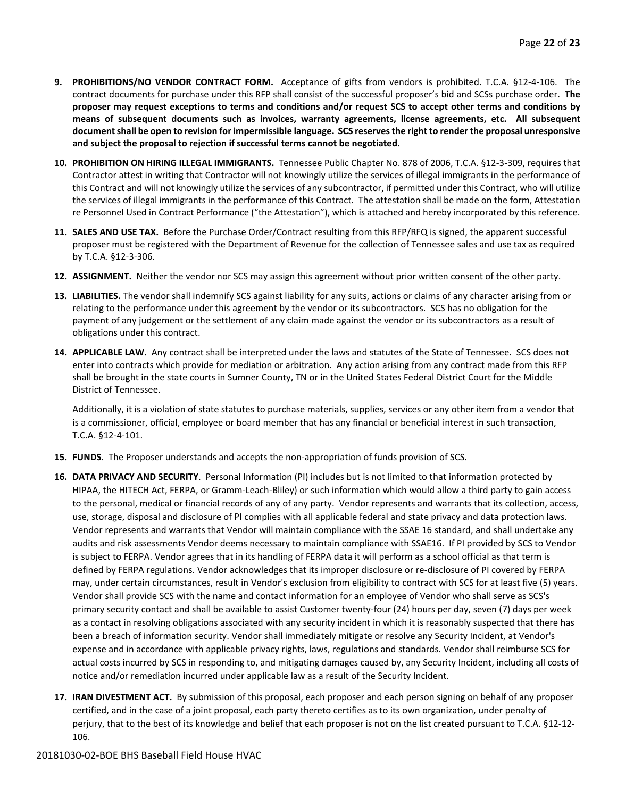- **9. PROHIBITIONS/NO VENDOR CONTRACT FORM.** Acceptance of gifts from vendors is prohibited. T.C.A. §12-4-106. The contract documents for purchase under this RFP shall consist of the successful proposer's bid and SCSs purchase order. **The proposer may request exceptions to terms and conditions and/or request SCS to accept other terms and conditions by means of subsequent documents such as invoices, warranty agreements, license agreements, etc. All subsequent document shall be open to revision for impermissible language. SCS reserves the right to render the proposal unresponsive and subject the proposal to rejection if successful terms cannot be negotiated.**
- **10. PROHIBITION ON HIRING ILLEGAL IMMIGRANTS.** Tennessee Public Chapter No. 878 of 2006, T.C.A. §12-3-309, requires that Contractor attest in writing that Contractor will not knowingly utilize the services of illegal immigrants in the performance of this Contract and will not knowingly utilize the services of any subcontractor, if permitted under this Contract, who will utilize the services of illegal immigrants in the performance of this Contract. The attestation shall be made on the form, Attestation re Personnel Used in Contract Performance ("the Attestation"), which is attached and hereby incorporated by this reference.
- **11. SALES AND USE TAX.** Before the Purchase Order/Contract resulting from this RFP/RFQ is signed, the apparent successful proposer must be registered with the Department of Revenue for the collection of Tennessee sales and use tax as required by T.C.A. §12-3-306.
- **12. ASSIGNMENT.** Neither the vendor nor SCS may assign this agreement without prior written consent of the other party.
- **13. LIABILITIES.** The vendor shall indemnify SCS against liability for any suits, actions or claims of any character arising from or relating to the performance under this agreement by the vendor or its subcontractors. SCS has no obligation for the payment of any judgement or the settlement of any claim made against the vendor or its subcontractors as a result of obligations under this contract.
- **14. APPLICABLE LAW.** Any contract shall be interpreted under the laws and statutes of the State of Tennessee. SCS does not enter into contracts which provide for mediation or arbitration. Any action arising from any contract made from this RFP shall be brought in the state courts in Sumner County, TN or in the United States Federal District Court for the Middle District of Tennessee.

Additionally, it is a violation of state statutes to purchase materials, supplies, services or any other item from a vendor that is a commissioner, official, employee or board member that has any financial or beneficial interest in such transaction, T.C.A. §12-4-101.

- **15. FUNDS**. The Proposer understands and accepts the non-appropriation of funds provision of SCS.
- **16. DATA PRIVACY AND SECURITY**. Personal Information (PI) includes but is not limited to that information protected by HIPAA, the HITECH Act, FERPA, or Gramm-Leach-Bliley) or such information which would allow a third party to gain access to the personal, medical or financial records of any of any party. Vendor represents and warrants that its collection, access, use, storage, disposal and disclosure of PI complies with all applicable federal and state privacy and data protection laws. Vendor represents and warrants that Vendor will maintain compliance with the SSAE 16 standard, and shall undertake any audits and risk assessments Vendor deems necessary to maintain compliance with SSAE16. If PI provided by SCS to Vendor is subject to FERPA. Vendor agrees that in its handling of FERPA data it will perform as a school official as that term is defined by FERPA regulations. Vendor acknowledges that its improper disclosure or re-disclosure of PI covered by FERPA may, under certain circumstances, result in Vendor's exclusion from eligibility to contract with SCS for at least five (5) years. Vendor shall provide SCS with the name and contact information for an employee of Vendor who shall serve as SCS's primary security contact and shall be available to assist Customer twenty-four (24) hours per day, seven (7) days per week as a contact in resolving obligations associated with any security incident in which it is reasonably suspected that there has been a breach of information security. Vendor shall immediately mitigate or resolve any Security Incident, at Vendor's expense and in accordance with applicable privacy rights, laws, regulations and standards. Vendor shall reimburse SCS for actual costs incurred by SCS in responding to, and mitigating damages caused by, any Security Incident, including all costs of notice and/or remediation incurred under applicable law as a result of the Security Incident.
- **17. IRAN DIVESTMENT ACT.** By submission of this proposal, each proposer and each person signing on behalf of any proposer certified, and in the case of a joint proposal, each party thereto certifies as to its own organization, under penalty of perjury, that to the best of its knowledge and belief that each proposer is not on the list created pursuant to T.C.A. §12-12- 106.

#### 20181030-02-BOE BHS Baseball Field House HVAC